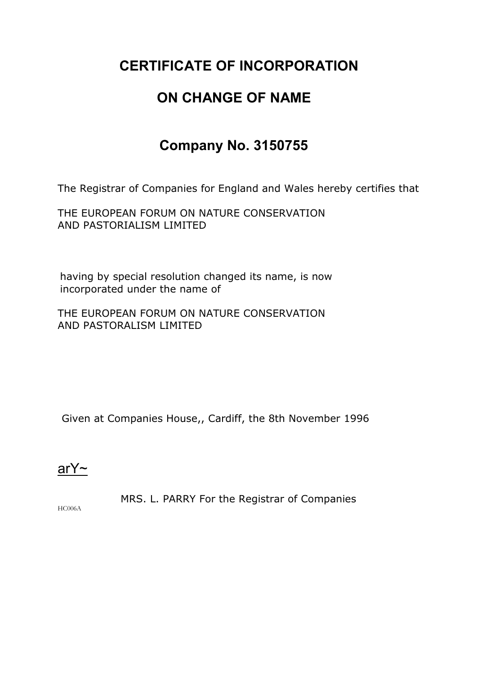# **CERTIFICATE OF INCORPORATION**

# **ON CHANGE OF NAME**

# **Company No. 3150755**

The Registrar of Companies for England and Wales hereby certifies that

THE EUROPEAN FORUM ON NATURE CONSERVATION AND PASTORIALISM LIMITED

having by special resolution changed its name, is now incorporated under the name of

THE EUROPEAN FORUM ON NATURE CONSERVATION AND PASTORALISM LIMITED

Given at Companies House,, Cardiff, the 8th November 1996

# arY~

MRS. L. PARRY For the Registrar of Companies

HC006A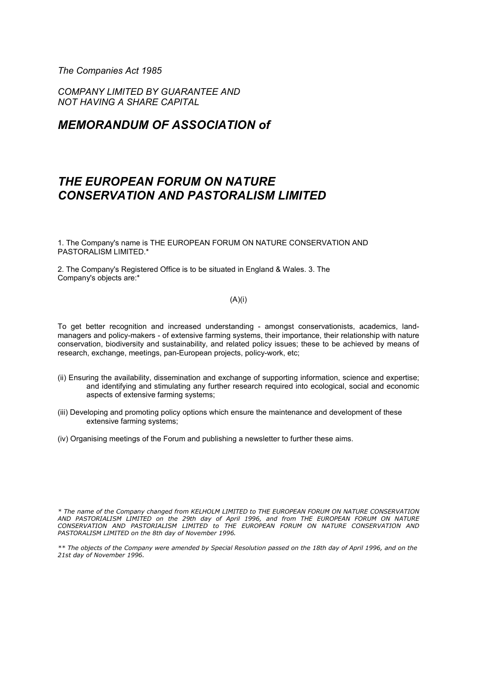*The Companies Act 1985* 

*COMPANY LIMITED BY GUARANTEE AND NOT HAVING A SHARE CAPITAL* 

# *MEMORANDUM OF ASSOCIATION of*

# *THE EUROPEAN FORUM ON NATURE CONSERVATION AND PASTORALISM LIMITED*

1. The Company's name is THE EUROPEAN FORUM ON NATURE CONSERVATION AND PASTORALISM LIMITED.\*

2. The Company's Registered Office is to be situated in England & Wales. 3. The Company's objects are:\*

 $(A)(i)$ 

To get better recognition and increased understanding - amongst conservationists, academics, landmanagers and policy-makers - of extensive farming systems, their importance, their relationship with nature conservation, biodiversity and sustainability, and related policy issues; these to be achieved by means of research, exchange, meetings, pan-European projects, policy-work, etc;

- (ii) Ensuring the availability, dissemination and exchange of supporting information, science and expertise; and identifying and stimulating any further research required into ecological, social and economic aspects of extensive farming systems;
- (iii) Developing and promoting policy options which ensure the maintenance and development of these extensive farming systems;
- (iv) Organising meetings of the Forum and publishing a newsletter to further these aims.

*\*\* The objects of the Company were amended by Special Resolution passed on the 18th day of April 1996, and on the 21st day of November 1996.* 

*<sup>\*</sup> The name of the Company changed from KELHOLM LIMITED to THE EUROPEAN FORUM ON NATURE CONSERVATION AND PASTORIALISM LIMITED on the 29th day of April 1996, and from THE EUROPEAN FORUM ON NATURE CONSERVATION AND PASTORIALISM LIMITED to THE EUROPEAN FORUM ON NATURE CONSERVATION AND PASTORALISM LIMITED on the 8th day of November 1996.*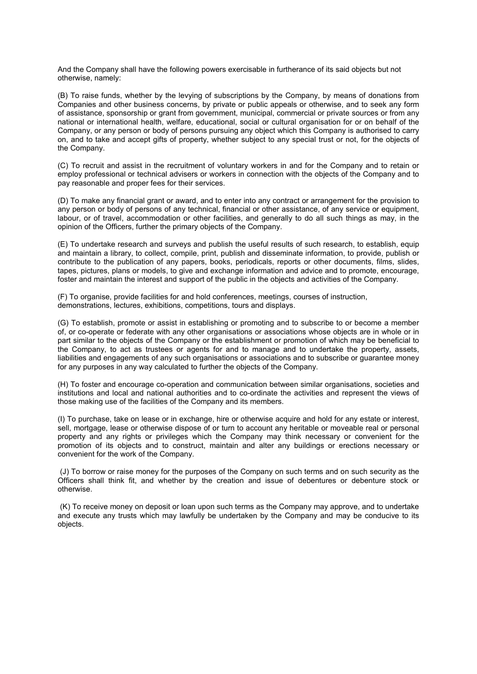And the Company shall have the following powers exercisable in furtherance of its said objects but not otherwise, namely:

(B) To raise funds, whether by the levying of subscriptions by the Company, by means of donations from Companies and other business concerns, by private or public appeals or otherwise, and to seek any form of assistance, sponsorship or grant from government, municipal, commercial or private sources or from any national or international health, welfare, educational, social or cultural organisation for or on behalf of the Company, or any person or body of persons pursuing any object which this Company is authorised to carry on, and to take and accept gifts of property, whether subject to any special trust or not, for the objects of the Company.

(C) To recruit and assist in the recruitment of voluntary workers in and for the Company and to retain or employ professional or technical advisers or workers in connection with the objects of the Company and to pay reasonable and proper fees for their services.

(D) To make any financial grant or award, and to enter into any contract or arrangement for the provision to any person or body of persons of any technical, financial or other assistance, of any service or equipment, labour, or of travel, accommodation or other facilities, and generally to do all such things as may, in the opinion of the Officers, further the primary objects of the Company.

(E) To undertake research and surveys and publish the useful results of such research, to establish, equip and maintain a library, to collect, compile, print, publish and disseminate information, to provide, publish or contribute to the publication of any papers, books, periodicals, reports or other documents, films, slides, tapes, pictures, plans or models, to give and exchange information and advice and to promote, encourage, foster and maintain the interest and support of the public in the objects and activities of the Company.

(F) To organise, provide facilities for and hold conferences, meetings, courses of instruction, demonstrations, lectures, exhibitions, competitions, tours and displays.

(G) To establish, promote or assist in establishing or promoting and to subscribe to or become a member of, or co-operate or federate with any other organisations or associations whose objects are in whole or in part similar to the objects of the Company or the establishment or promotion of which may be beneficial to the Company, to act as trustees or agents for and to manage and to undertake the property, assets, liabilities and engagements of any such organisations or associations and to subscribe or guarantee money for any purposes in any way calculated to further the objects of the Company.

(H) To foster and encourage co-operation and communication between similar organisations, societies and institutions and local and national authorities and to co-ordinate the activities and represent the views of those making use of the facilities of the Company and its members.

(I) To purchase, take on lease or in exchange, hire or otherwise acquire and hold for any estate or interest, sell, mortgage, lease or otherwise dispose of or turn to account any heritable or moveable real or personal property and any rights or privileges which the Company may think necessary or convenient for the promotion of its objects and to construct, maintain and alter any buildings or erections necessary or convenient for the work of the Company.

(J) To borrow or raise money for the purposes of the Company on such terms and on such security as the Officers shall think fit, and whether by the creation and issue of debentures or debenture stock or otherwise.

(K) To receive money on deposit or loan upon such terms as the Company may approve, and to undertake and execute any trusts which may lawfully be undertaken by the Company and may be conducive to its objects.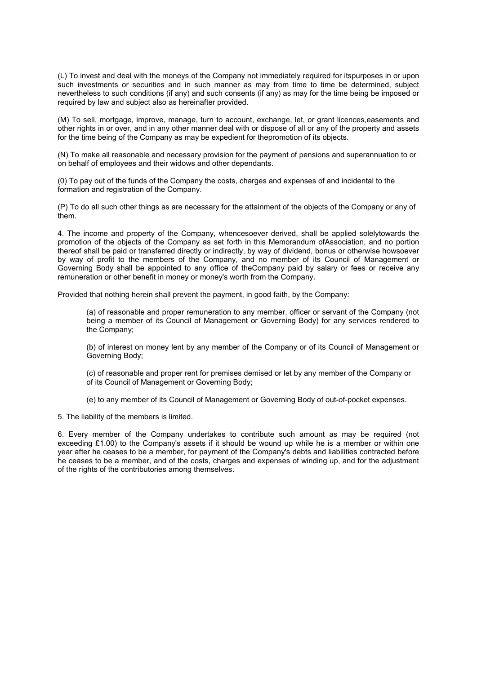(L) To invest and deal with the moneys of the Company not immediately required for itspurposes in or upon such investments or securities and in such manner as may from time to time be determined, subject nevertheless to such conditions (if any) and such consents (if any) as may for the time being be imposed or required by law and subject also as hereinafter provided.

(M) To sell, mortgage, improve, manage, turn to account, exchange, let, or grant licences,easements and other rights in or over, and in any other manner deal with or dispose of all or any of the property and assets for the time being of the Company as may be expedient for thepromotion of its objects.

(N) To make all reasonable and necessary provision for the payment of pensions and superannuation to or on behalf of employees and their widows and other dependants.

(0) To pay out of the funds of the Company the costs, charges and expenses of and incidental to the formation and registration of the Company.

(P) To do all such other things as are necessary for the attainment of the objects of the Company or any of them.

4. The income and property of the Company, whencesoever derived, shall be applied solelytowards the promotion of the objects of the Company as set forth in this Memorandum ofAssociation, and no portion thereof shall be paid or transferred directly or indirectly, by way of dividend, bonus or otherwise howsoever by way of profit to the members of the Company, and no member of its Council of Management or Governing Body shall be appointed to any office of theCompany paid by salary or fees or receive any remuneration or other benefit in money or money's worth from the Company.

Provided that nothing herein shall prevent the payment, in good faith, by the Company:

(a) of reasonable and proper remuneration to any member, officer or servant of the Company (not being a member of its Council of Management or Governing Body) for any services rendered to the Company;

(b) of interest on money lent by any member of the Company or of its Council of Management or Governing Body;

(c) of reasonable and proper rent for premises demised or let by any member of the Company or of its Council of Management or Governing Body;

(e) to any member of its Council of Management or Governing Body of out-of-pocket expenses.

5. The liability of the members is limited.

6. Every member of the Company undertakes to contribute such amount as may be required (not exceeding £1.00) to the Company's assets if it should be wound up while he is a member or within one year after he ceases to be a member, for payment of the Company's debts and liabilities contracted before he ceases to be a member, and of the costs, charges and expenses of winding up, and for the adjustment of the rights of the contributories among themselves.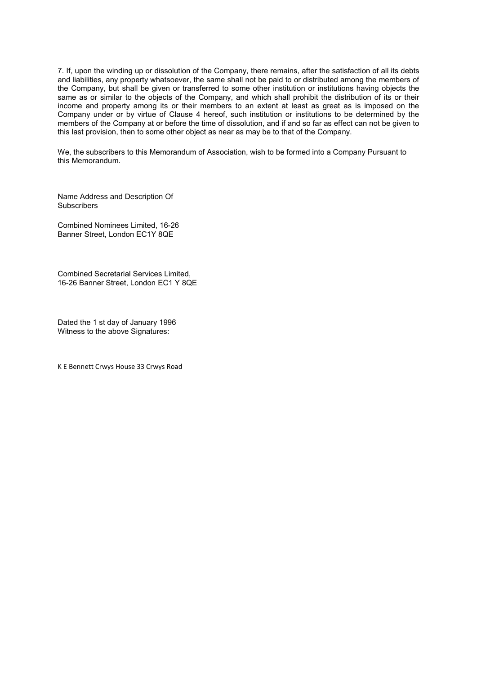7. If, upon the winding up or dissolution of the Company, there remains, after the satisfaction of all its debts and liabilities, any property whatsoever, the same shall not be paid to or distributed among the members of the Company, but shall be given or transferred to some other institution or institutions having objects the same as or similar to the objects of the Company, and which shall prohibit the distribution of its or their income and property among its or their members to an extent at least as great as is imposed on the Company under or by virtue of Clause 4 hereof, such institution or institutions to be determined by the members of the Company at or before the time of dissolution, and if and so far as effect can not be given to this last provision, then to some other object as near as may be to that of the Company.

We, the subscribers to this Memorandum of Association, wish to be formed into a Company Pursuant to this Memorandum.

Name Address and Description Of **Subscribers** 

Combined Nominees Limited, 16-26 Banner Street, London EC1Y 8QE

Combined Secretarial Services Limited, 16-26 Banner Street, London EC1 Y 8QE

Dated the 1 st day of January 1996 Witness to the above Signatures:

K E Bennett Crwys House 33 Crwys Road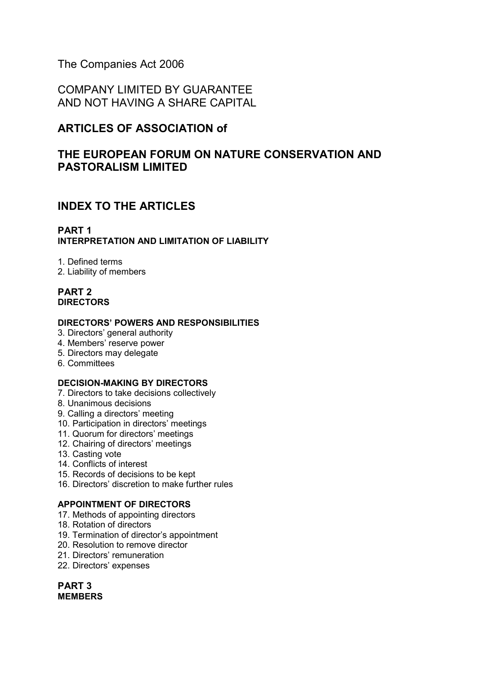# The Companies Act 2006

COMPANY LIMITED BY GUARANTEE AND NOT HAVING A SHARE CAPITAL

# **ARTICLES OF ASSOCIATION of**

# **THE EUROPEAN FORUM ON NATURE CONSERVATION AND PASTORALISM LIMITED**

# **INDEX TO THE ARTICLES**

# **PART 1 INTERPRETATION AND LIMITATION OF LIABILITY**

1. Defined terms

2. Liability of members

# **PART 2 DIRECTORS**

# **DIRECTORS' POWERS AND RESPONSIBILITIES**

- 3. Directors' general authority
- 4. Members' reserve power
- 5. Directors may delegate
- 6. Committees

# **DECISION-MAKING BY DIRECTORS**

- 7. Directors to take decisions collectively
- 8. Unanimous decisions
- 9. Calling a directors' meeting
- 10. Participation in directors' meetings
- 11. Quorum for directors' meetings
- 12. Chairing of directors' meetings
- 13. Casting vote
- 14. Conflicts of interest
- 15. Records of decisions to be kept
- 16. Directors' discretion to make further rules

# **APPOINTMENT OF DIRECTORS**

- 17. Methods of appointing directors
- 18. Rotation of directors
- 19. Termination of director's appointment
- 20. Resolution to remove director
- 21. Directors' remuneration
- 22. Directors' expenses

**PART 3 MEMBERS**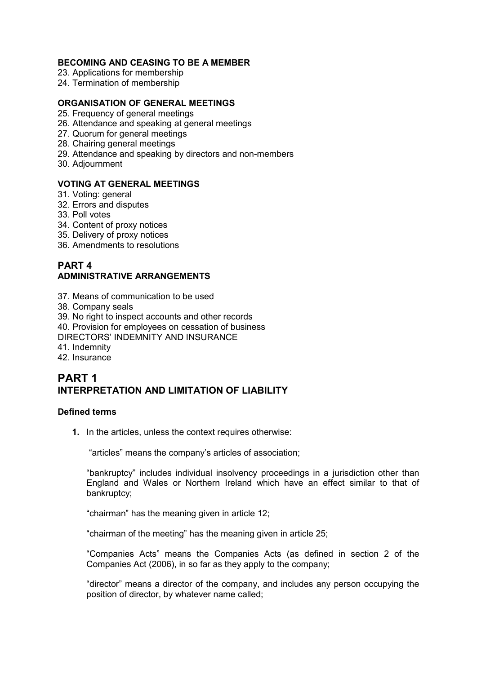# **BECOMING AND CEASING TO BE A MEMBER**

- 23. Applications for membership
- 24. Termination of membership

# **ORGANISATION OF GENERAL MEETINGS**

- 25. Frequency of general meetings
- 26. Attendance and speaking at general meetings
- 27. Quorum for general meetings
- 28. Chairing general meetings
- 29. Attendance and speaking by directors and non-members
- 30. Adjournment

#### **VOTING AT GENERAL MEETINGS**

- 31. Voting: general
- 32. Errors and disputes
- 33. Poll votes
- 34. Content of proxy notices
- 35. Delivery of proxy notices
- 36. Amendments to resolutions

# **PART 4 ADMINISTRATIVE ARRANGEMENTS**

- 37. Means of communication to be used
- 38. Company seals
- 39. No right to inspect accounts and other records
- 40. Provision for employees on cessation of business
- DIRECTORS' INDEMNITY AND INSURANCE
- 41. Indemnity
- 42. Insurance

# **PART 1 INTERPRETATION AND LIMITATION OF LIABILITY**

# **Defined terms**

**1.** In the articles, unless the context requires otherwise:

"articles" means the company's articles of association;

"bankruptcy" includes individual insolvency proceedings in a jurisdiction other than England and Wales or Northern Ireland which have an effect similar to that of bankruptcy;

"chairman" has the meaning given in article 12;

"chairman of the meeting" has the meaning given in article 25;

"Companies Acts" means the Companies Acts (as defined in section 2 of the Companies Act (2006), in so far as they apply to the company;

"director" means a director of the company, and includes any person occupying the position of director, by whatever name called;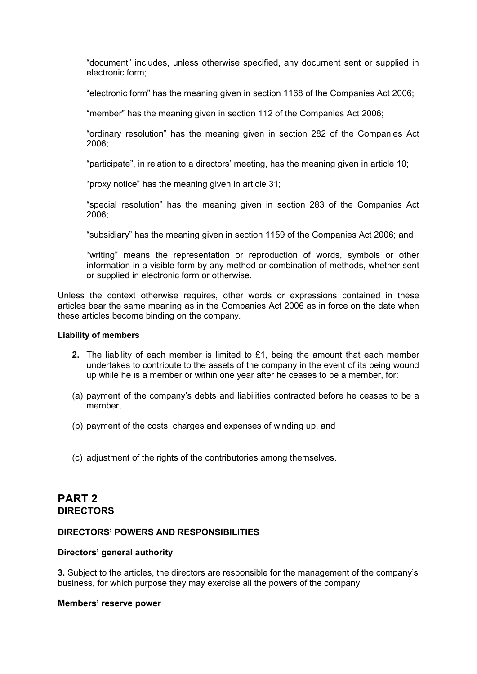"document" includes, unless otherwise specified, any document sent or supplied in electronic form;

"electronic form" has the meaning given in section 1168 of the Companies Act 2006;

"member" has the meaning given in section 112 of the Companies Act 2006;

"ordinary resolution" has the meaning given in section 282 of the Companies Act 2006;

"participate", in relation to a directors' meeting, has the meaning given in article 10;

"proxy notice" has the meaning given in article 31;

"special resolution" has the meaning given in section 283 of the Companies Act 2006;

"subsidiary" has the meaning given in section 1159 of the Companies Act 2006; and

"writing" means the representation or reproduction of words, symbols or other information in a visible form by any method or combination of methods, whether sent or supplied in electronic form or otherwise.

Unless the context otherwise requires, other words or expressions contained in these articles bear the same meaning as in the Companies Act 2006 as in force on the date when these articles become binding on the company.

#### **Liability of members**

- **2.** The liability of each member is limited to £1, being the amount that each member undertakes to contribute to the assets of the company in the event of its being wound up while he is a member or within one year after he ceases to be a member, for:
- (a) payment of the company's debts and liabilities contracted before he ceases to be a member,
- (b) payment of the costs, charges and expenses of winding up, and
- (c) adjustment of the rights of the contributories among themselves.

# **PART 2 DIRECTORS**

# **DIRECTORS' POWERS AND RESPONSIBILITIES**

#### **Directors' general authority**

**3.** Subject to the articles, the directors are responsible for the management of the company's business, for which purpose they may exercise all the powers of the company.

#### **Members' reserve power**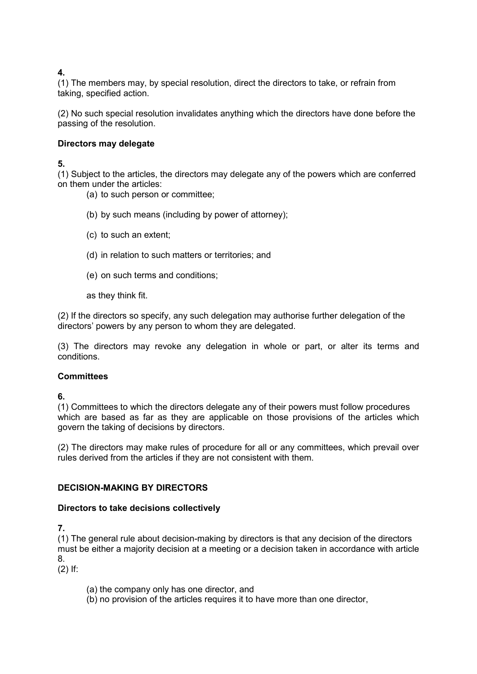# **4.**

(1) The members may, by special resolution, direct the directors to take, or refrain from taking, specified action.

(2) No such special resolution invalidates anything which the directors have done before the passing of the resolution.

# **Directors may delegate**

# **5.**

(1) Subject to the articles, the directors may delegate any of the powers which are conferred on them under the articles:

- (a) to such person or committee;
- (b) by such means (including by power of attorney);
- (c) to such an extent;
- (d) in relation to such matters or territories; and
- (e) on such terms and conditions;

as they think fit.

(2) If the directors so specify, any such delegation may authorise further delegation of the directors' powers by any person to whom they are delegated.

(3) The directors may revoke any delegation in whole or part, or alter its terms and conditions.

# **Committees**

**6.**

(1) Committees to which the directors delegate any of their powers must follow procedures which are based as far as they are applicable on those provisions of the articles which govern the taking of decisions by directors.

(2) The directors may make rules of procedure for all or any committees, which prevail over rules derived from the articles if they are not consistent with them.

# **DECISION-MAKING BY DIRECTORS**

# **Directors to take decisions collectively**

**7.**

(1) The general rule about decision-making by directors is that any decision of the directors must be either a majority decision at a meeting or a decision taken in accordance with article 8.

(2) If:

- (a) the company only has one director, and
- (b) no provision of the articles requires it to have more than one director,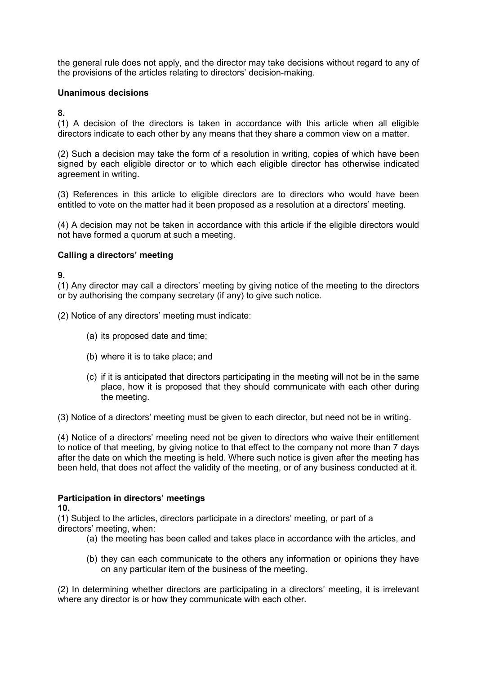the general rule does not apply, and the director may take decisions without regard to any of the provisions of the articles relating to directors' decision-making.

### **Unanimous decisions**

**8.**

(1) A decision of the directors is taken in accordance with this article when all eligible directors indicate to each other by any means that they share a common view on a matter.

(2) Such a decision may take the form of a resolution in writing, copies of which have been signed by each eligible director or to which each eligible director has otherwise indicated agreement in writing.

(3) References in this article to eligible directors are to directors who would have been entitled to vote on the matter had it been proposed as a resolution at a directors' meeting.

(4) A decision may not be taken in accordance with this article if the eligible directors would not have formed a quorum at such a meeting.

### **Calling a directors' meeting**

**9.**

(1) Any director may call a directors' meeting by giving notice of the meeting to the directors or by authorising the company secretary (if any) to give such notice.

(2) Notice of any directors' meeting must indicate:

- (a) its proposed date and time;
- (b) where it is to take place; and
- (c) if it is anticipated that directors participating in the meeting will not be in the same place, how it is proposed that they should communicate with each other during the meeting.

(3) Notice of a directors' meeting must be given to each director, but need not be in writing.

(4) Notice of a directors' meeting need not be given to directors who waive their entitlement to notice of that meeting, by giving notice to that effect to the company not more than 7 days after the date on which the meeting is held. Where such notice is given after the meeting has been held, that does not affect the validity of the meeting, or of any business conducted at it.

# **Participation in directors' meetings**

**10.**

(1) Subject to the articles, directors participate in a directors' meeting, or part of a directors' meeting, when:

- (a) the meeting has been called and takes place in accordance with the articles, and
- (b) they can each communicate to the others any information or opinions they have on any particular item of the business of the meeting.

(2) In determining whether directors are participating in a directors' meeting, it is irrelevant where any director is or how they communicate with each other.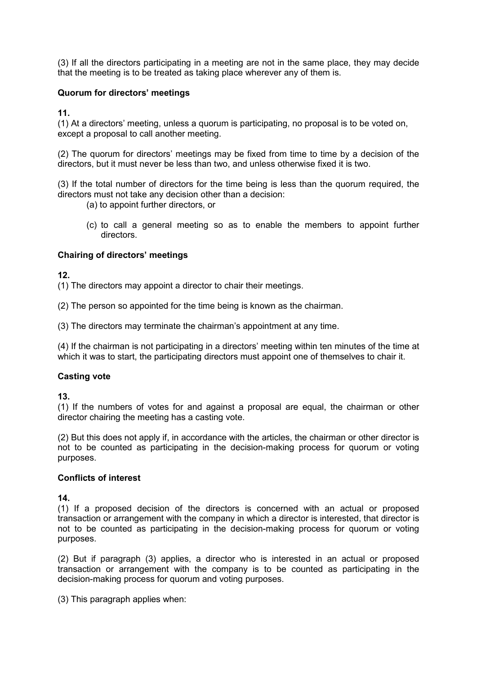(3) If all the directors participating in a meeting are not in the same place, they may decide that the meeting is to be treated as taking place wherever any of them is.

# **Quorum for directors' meetings**

**11.**

(1) At a directors' meeting, unless a quorum is participating, no proposal is to be voted on, except a proposal to call another meeting.

(2) The quorum for directors' meetings may be fixed from time to time by a decision of the directors, but it must never be less than two, and unless otherwise fixed it is two.

(3) If the total number of directors for the time being is less than the quorum required, the directors must not take any decision other than a decision:

- (a) to appoint further directors, or
- (c) to call a general meeting so as to enable the members to appoint further directors.

#### **Chairing of directors' meetings**

**12.**

(1) The directors may appoint a director to chair their meetings.

(2) The person so appointed for the time being is known as the chairman.

(3) The directors may terminate the chairman's appointment at any time.

(4) If the chairman is not participating in a directors' meeting within ten minutes of the time at which it was to start, the participating directors must appoint one of themselves to chair it.

#### **Casting vote**

**13.**

(1) If the numbers of votes for and against a proposal are equal, the chairman or other director chairing the meeting has a casting vote.

(2) But this does not apply if, in accordance with the articles, the chairman or other director is not to be counted as participating in the decision-making process for quorum or voting purposes.

# **Conflicts of interest**

**14.**

(1) If a proposed decision of the directors is concerned with an actual or proposed transaction or arrangement with the company in which a director is interested, that director is not to be counted as participating in the decision-making process for quorum or voting purposes.

(2) But if paragraph (3) applies, a director who is interested in an actual or proposed transaction or arrangement with the company is to be counted as participating in the decision-making process for quorum and voting purposes.

(3) This paragraph applies when: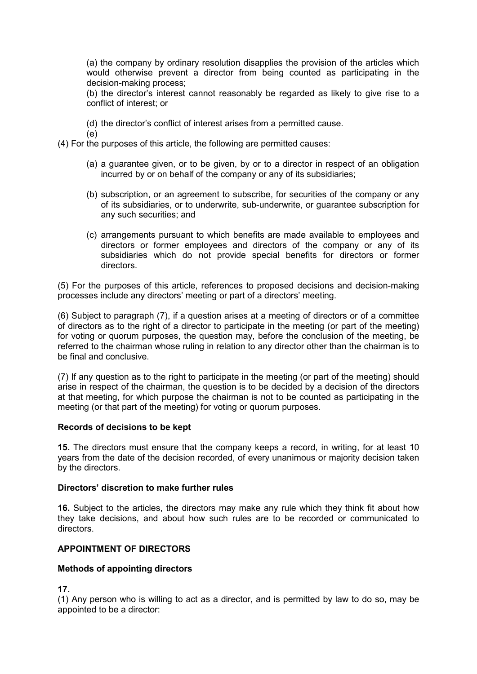(a) the company by ordinary resolution disapplies the provision of the articles which would otherwise prevent a director from being counted as participating in the decision-making process;

(b) the director's interest cannot reasonably be regarded as likely to give rise to a conflict of interest; or

(d) the director's conflict of interest arises from a permitted cause.

(e)

(4) For the purposes of this article, the following are permitted causes:

- (a) a guarantee given, or to be given, by or to a director in respect of an obligation incurred by or on behalf of the company or any of its subsidiaries;
- (b) subscription, or an agreement to subscribe, for securities of the company or any of its subsidiaries, or to underwrite, sub-underwrite, or guarantee subscription for any such securities; and
- (c) arrangements pursuant to which benefits are made available to employees and directors or former employees and directors of the company or any of its subsidiaries which do not provide special benefits for directors or former directors.

(5) For the purposes of this article, references to proposed decisions and decision-making processes include any directors' meeting or part of a directors' meeting.

(6) Subject to paragraph (7), if a question arises at a meeting of directors or of a committee of directors as to the right of a director to participate in the meeting (or part of the meeting) for voting or quorum purposes, the question may, before the conclusion of the meeting, be referred to the chairman whose ruling in relation to any director other than the chairman is to be final and conclusive.

(7) If any question as to the right to participate in the meeting (or part of the meeting) should arise in respect of the chairman, the question is to be decided by a decision of the directors at that meeting, for which purpose the chairman is not to be counted as participating in the meeting (or that part of the meeting) for voting or quorum purposes.

#### **Records of decisions to be kept**

**15.** The directors must ensure that the company keeps a record, in writing, for at least 10 years from the date of the decision recorded, of every unanimous or majority decision taken by the directors.

#### **Directors' discretion to make further rules**

**16.** Subject to the articles, the directors may make any rule which they think fit about how they take decisions, and about how such rules are to be recorded or communicated to directors.

# **APPOINTMENT OF DIRECTORS**

# **Methods of appointing directors**

**17.**

(1) Any person who is willing to act as a director, and is permitted by law to do so, may be appointed to be a director: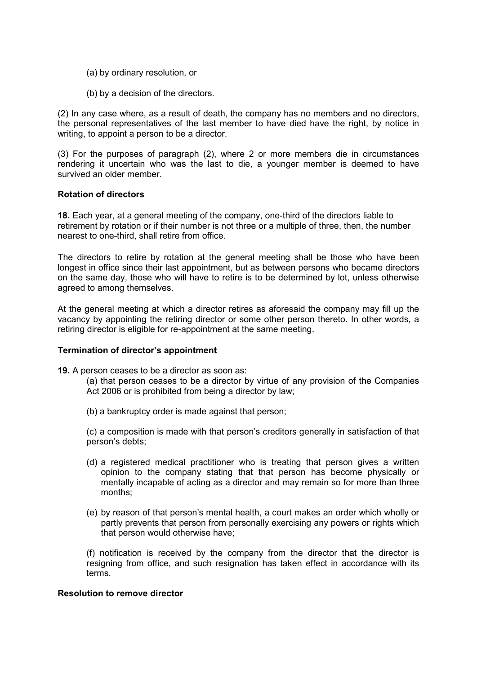- (a) by ordinary resolution, or
- (b) by a decision of the directors.

(2) In any case where, as a result of death, the company has no members and no directors, the personal representatives of the last member to have died have the right, by notice in writing, to appoint a person to be a director.

(3) For the purposes of paragraph (2), where 2 or more members die in circumstances rendering it uncertain who was the last to die, a younger member is deemed to have survived an older member

#### **Rotation of directors**

**18.** Each year, at a general meeting of the company, one-third of the directors liable to retirement by rotation or if their number is not three or a multiple of three, then, the number nearest to one-third, shall retire from office.

The directors to retire by rotation at the general meeting shall be those who have been longest in office since their last appointment, but as between persons who became directors on the same day, those who will have to retire is to be determined by lot, unless otherwise agreed to among themselves.

At the general meeting at which a director retires as aforesaid the company may fill up the vacancy by appointing the retiring director or some other person thereto. In other words, a retiring director is eligible for re-appointment at the same meeting.

# **Termination of director's appointment**

**19.** A person ceases to be a director as soon as:

- (a) that person ceases to be a director by virtue of any provision of the Companies Act 2006 or is prohibited from being a director by law;
- (b) a bankruptcy order is made against that person;

(c) a composition is made with that person's creditors generally in satisfaction of that person's debts;

- (d) a registered medical practitioner who is treating that person gives a written opinion to the company stating that that person has become physically or mentally incapable of acting as a director and may remain so for more than three months;
- (e) by reason of that person's mental health, a court makes an order which wholly or partly prevents that person from personally exercising any powers or rights which that person would otherwise have;

(f) notification is received by the company from the director that the director is resigning from office, and such resignation has taken effect in accordance with its terms.

#### **Resolution to remove director**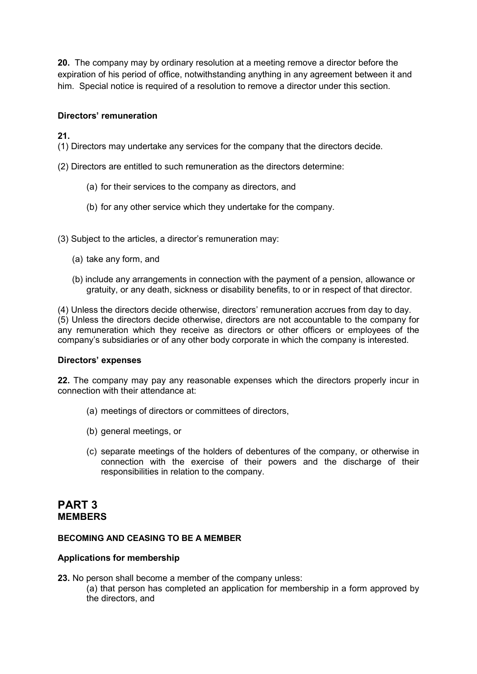**20.** The company may by ordinary resolution at a meeting remove a director before the expiration of his period of office, notwithstanding anything in any agreement between it and him. Special notice is required of a resolution to remove a director under this section.

# **Directors' remuneration**

**21.**

(1) Directors may undertake any services for the company that the directors decide.

(2) Directors are entitled to such remuneration as the directors determine:

- (a) for their services to the company as directors, and
- (b) for any other service which they undertake for the company.

(3) Subject to the articles, a director's remuneration may:

- (a) take any form, and
- (b) include any arrangements in connection with the payment of a pension, allowance or gratuity, or any death, sickness or disability benefits, to or in respect of that director.

(4) Unless the directors decide otherwise, directors' remuneration accrues from day to day. (5) Unless the directors decide otherwise, directors are not accountable to the company for any remuneration which they receive as directors or other officers or employees of the company's subsidiaries or of any other body corporate in which the company is interested.

# **Directors' expenses**

**22.** The company may pay any reasonable expenses which the directors properly incur in connection with their attendance at:

- (a) meetings of directors or committees of directors,
- (b) general meetings, or
- (c) separate meetings of the holders of debentures of the company, or otherwise in connection with the exercise of their powers and the discharge of their responsibilities in relation to the company.

# **PART 3 MEMBERS**

# **BECOMING AND CEASING TO BE A MEMBER**

# **Applications for membership**

**23.** No person shall become a member of the company unless:

(a) that person has completed an application for membership in a form approved by the directors, and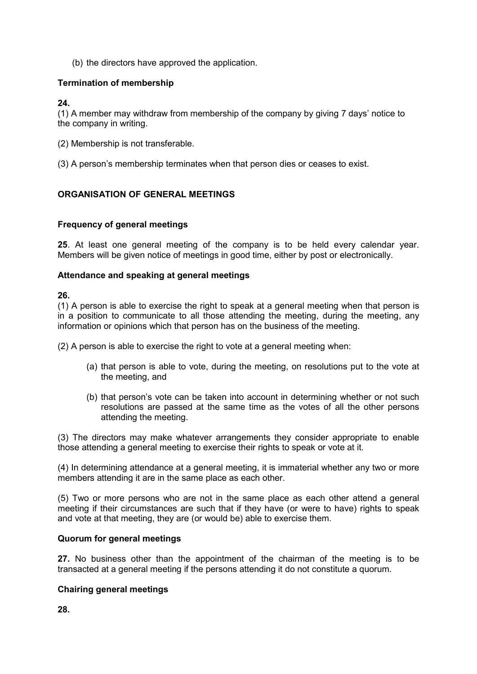(b) the directors have approved the application.

# **Termination of membership**

# **24.**

(1) A member may withdraw from membership of the company by giving 7 days' notice to the company in writing.

- (2) Membership is not transferable.
- (3) A person's membership terminates when that person dies or ceases to exist.

# **ORGANISATION OF GENERAL MEETINGS**

# **Frequency of general meetings**

**25**. At least one general meeting of the company is to be held every calendar year. Members will be given notice of meetings in good time, either by post or electronically.

#### **Attendance and speaking at general meetings**

# **26.**

(1) A person is able to exercise the right to speak at a general meeting when that person is in a position to communicate to all those attending the meeting, during the meeting, any information or opinions which that person has on the business of the meeting.

(2) A person is able to exercise the right to vote at a general meeting when:

- (a) that person is able to vote, during the meeting, on resolutions put to the vote at the meeting, and
- (b) that person's vote can be taken into account in determining whether or not such resolutions are passed at the same time as the votes of all the other persons attending the meeting.

(3) The directors may make whatever arrangements they consider appropriate to enable those attending a general meeting to exercise their rights to speak or vote at it.

(4) In determining attendance at a general meeting, it is immaterial whether any two or more members attending it are in the same place as each other.

(5) Two or more persons who are not in the same place as each other attend a general meeting if their circumstances are such that if they have (or were to have) rights to speak and vote at that meeting, they are (or would be) able to exercise them.

# **Quorum for general meetings**

**27.** No business other than the appointment of the chairman of the meeting is to be transacted at a general meeting if the persons attending it do not constitute a quorum.

# **Chairing general meetings**

**28.**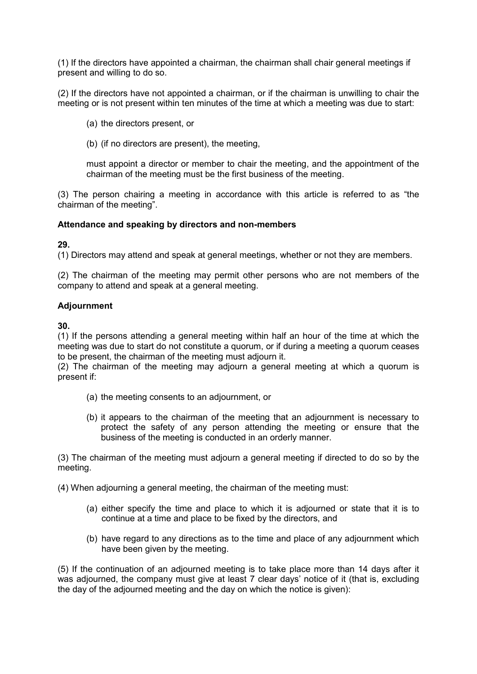(1) If the directors have appointed a chairman, the chairman shall chair general meetings if present and willing to do so.

(2) If the directors have not appointed a chairman, or if the chairman is unwilling to chair the meeting or is not present within ten minutes of the time at which a meeting was due to start:

- (a) the directors present, or
- (b) (if no directors are present), the meeting,

must appoint a director or member to chair the meeting, and the appointment of the chairman of the meeting must be the first business of the meeting.

(3) The person chairing a meeting in accordance with this article is referred to as "the chairman of the meeting".

#### **Attendance and speaking by directors and non-members**

#### **29.**

(1) Directors may attend and speak at general meetings, whether or not they are members.

(2) The chairman of the meeting may permit other persons who are not members of the company to attend and speak at a general meeting.

#### **Adjournment**

**30.**

(1) If the persons attending a general meeting within half an hour of the time at which the meeting was due to start do not constitute a quorum, or if during a meeting a quorum ceases to be present, the chairman of the meeting must adjourn it.

(2) The chairman of the meeting may adjourn a general meeting at which a quorum is present if:

- (a) the meeting consents to an adjournment, or
- (b) it appears to the chairman of the meeting that an adjournment is necessary to protect the safety of any person attending the meeting or ensure that the business of the meeting is conducted in an orderly manner.

(3) The chairman of the meeting must adjourn a general meeting if directed to do so by the meeting.

(4) When adjourning a general meeting, the chairman of the meeting must:

- (a) either specify the time and place to which it is adjourned or state that it is to continue at a time and place to be fixed by the directors, and
- (b) have regard to any directions as to the time and place of any adjournment which have been given by the meeting.

(5) If the continuation of an adjourned meeting is to take place more than 14 days after it was adjourned, the company must give at least 7 clear days' notice of it (that is, excluding the day of the adjourned meeting and the day on which the notice is given):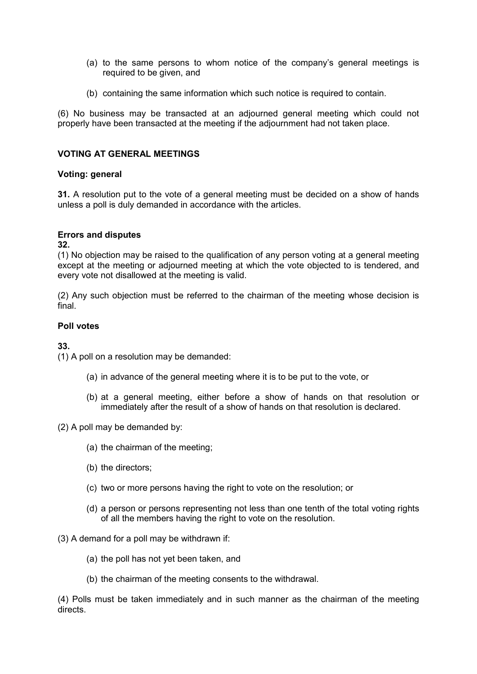- (a) to the same persons to whom notice of the company's general meetings is required to be given, and
- (b) containing the same information which such notice is required to contain.

(6) No business may be transacted at an adjourned general meeting which could not properly have been transacted at the meeting if the adjournment had not taken place.

### **VOTING AT GENERAL MEETINGS**

#### **Voting: general**

**31.** A resolution put to the vote of a general meeting must be decided on a show of hands unless a poll is duly demanded in accordance with the articles.

#### **Errors and disputes**

#### **32.**

(1) No objection may be raised to the qualification of any person voting at a general meeting except at the meeting or adjourned meeting at which the vote objected to is tendered, and every vote not disallowed at the meeting is valid.

(2) Any such objection must be referred to the chairman of the meeting whose decision is final.

# **Poll votes**

# **33.**

(1) A poll on a resolution may be demanded:

- (a) in advance of the general meeting where it is to be put to the vote, or
- (b) at a general meeting, either before a show of hands on that resolution or immediately after the result of a show of hands on that resolution is declared.

(2) A poll may be demanded by:

- (a) the chairman of the meeting;
- (b) the directors;
- (c) two or more persons having the right to vote on the resolution; or
- (d) a person or persons representing not less than one tenth of the total voting rights of all the members having the right to vote on the resolution.

#### (3) A demand for a poll may be withdrawn if:

- (a) the poll has not yet been taken, and
- (b) the chairman of the meeting consents to the withdrawal.

(4) Polls must be taken immediately and in such manner as the chairman of the meeting directs.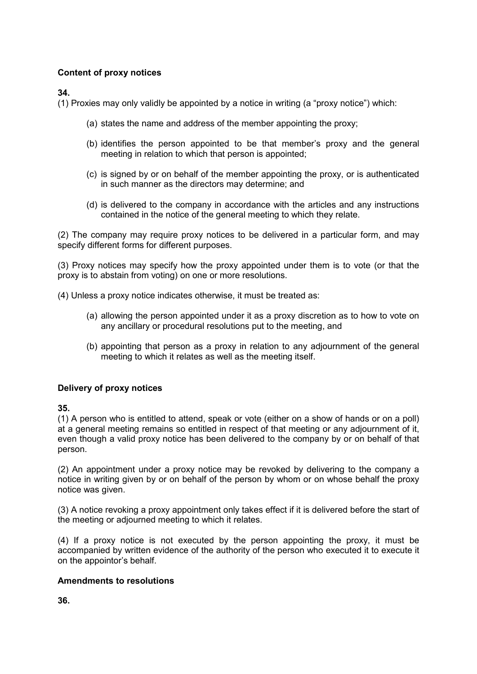# **Content of proxy notices**

**34.**

(1) Proxies may only validly be appointed by a notice in writing (a "proxy notice") which:

- (a) states the name and address of the member appointing the proxy;
- (b) identifies the person appointed to be that member's proxy and the general meeting in relation to which that person is appointed;
- (c) is signed by or on behalf of the member appointing the proxy, or is authenticated in such manner as the directors may determine; and
- (d) is delivered to the company in accordance with the articles and any instructions contained in the notice of the general meeting to which they relate.

(2) The company may require proxy notices to be delivered in a particular form, and may specify different forms for different purposes.

(3) Proxy notices may specify how the proxy appointed under them is to vote (or that the proxy is to abstain from voting) on one or more resolutions.

(4) Unless a proxy notice indicates otherwise, it must be treated as:

- (a) allowing the person appointed under it as a proxy discretion as to how to vote on any ancillary or procedural resolutions put to the meeting, and
- (b) appointing that person as a proxy in relation to any adjournment of the general meeting to which it relates as well as the meeting itself.

# **Delivery of proxy notices**

# **35.**

(1) A person who is entitled to attend, speak or vote (either on a show of hands or on a poll) at a general meeting remains so entitled in respect of that meeting or any adjournment of it, even though a valid proxy notice has been delivered to the company by or on behalf of that person.

(2) An appointment under a proxy notice may be revoked by delivering to the company a notice in writing given by or on behalf of the person by whom or on whose behalf the proxy notice was given.

(3) A notice revoking a proxy appointment only takes effect if it is delivered before the start of the meeting or adjourned meeting to which it relates.

(4) If a proxy notice is not executed by the person appointing the proxy, it must be accompanied by written evidence of the authority of the person who executed it to execute it on the appointor's behalf.

# **Amendments to resolutions**

**36.**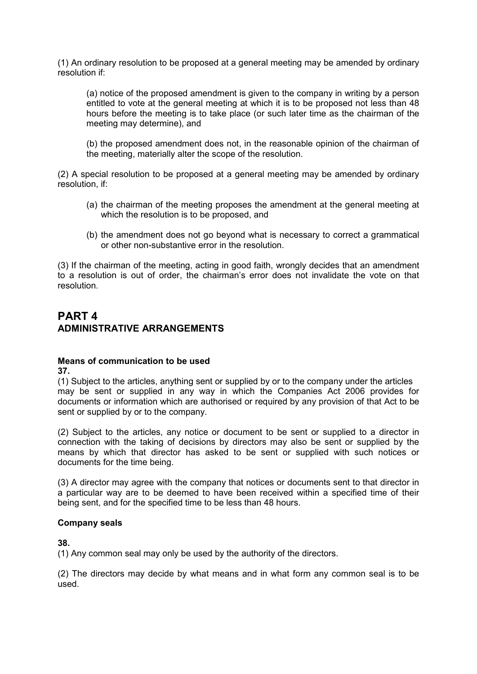(1) An ordinary resolution to be proposed at a general meeting may be amended by ordinary resolution if:

(a) notice of the proposed amendment is given to the company in writing by a person entitled to vote at the general meeting at which it is to be proposed not less than 48 hours before the meeting is to take place (or such later time as the chairman of the meeting may determine), and

(b) the proposed amendment does not, in the reasonable opinion of the chairman of the meeting, materially alter the scope of the resolution.

(2) A special resolution to be proposed at a general meeting may be amended by ordinary resolution, if:

- (a) the chairman of the meeting proposes the amendment at the general meeting at which the resolution is to be proposed, and
- (b) the amendment does not go beyond what is necessary to correct a grammatical or other non-substantive error in the resolution.

(3) If the chairman of the meeting, acting in good faith, wrongly decides that an amendment to a resolution is out of order, the chairman's error does not invalidate the vote on that resolution.

# **PART 4 ADMINISTRATIVE ARRANGEMENTS**

#### **Means of communication to be used 37.**

(1) Subject to the articles, anything sent or supplied by or to the company under the articles may be sent or supplied in any way in which the Companies Act 2006 provides for documents or information which are authorised or required by any provision of that Act to be sent or supplied by or to the company.

(2) Subject to the articles, any notice or document to be sent or supplied to a director in connection with the taking of decisions by directors may also be sent or supplied by the means by which that director has asked to be sent or supplied with such notices or documents for the time being.

(3) A director may agree with the company that notices or documents sent to that director in a particular way are to be deemed to have been received within a specified time of their being sent, and for the specified time to be less than 48 hours.

# **Company seals**

**38.**

(1) Any common seal may only be used by the authority of the directors.

(2) The directors may decide by what means and in what form any common seal is to be used.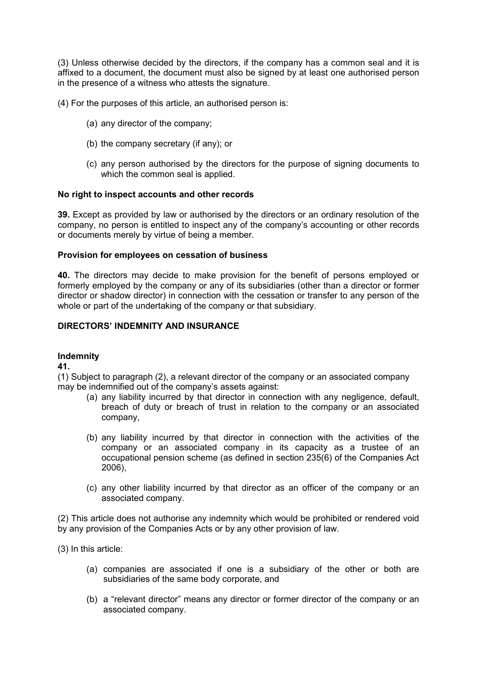(3) Unless otherwise decided by the directors, if the company has a common seal and it is affixed to a document, the document must also be signed by at least one authorised person in the presence of a witness who attests the signature.

(4) For the purposes of this article, an authorised person is:

- (a) any director of the company;
- (b) the company secretary (if any); or
- (c) any person authorised by the directors for the purpose of signing documents to which the common seal is applied.

# **No right to inspect accounts and other records**

**39.** Except as provided by law or authorised by the directors or an ordinary resolution of the company, no person is entitled to inspect any of the company's accounting or other records or documents merely by virtue of being a member.

#### **Provision for employees on cessation of business**

**40.** The directors may decide to make provision for the benefit of persons employed or formerly employed by the company or any of its subsidiaries (other than a director or former director or shadow director) in connection with the cessation or transfer to any person of the whole or part of the undertaking of the company or that subsidiary.

# **DIRECTORS' INDEMNITY AND INSURANCE**

# **Indemnity**

#### **41.**

(1) Subject to paragraph (2), a relevant director of the company or an associated company may be indemnified out of the company's assets against:

- (a) any liability incurred by that director in connection with any negligence, default, breach of duty or breach of trust in relation to the company or an associated company,
- (b) any liability incurred by that director in connection with the activities of the company or an associated company in its capacity as a trustee of an occupational pension scheme (as defined in section 235(6) of the Companies Act 2006),
- (c) any other liability incurred by that director as an officer of the company or an associated company.

(2) This article does not authorise any indemnity which would be prohibited or rendered void by any provision of the Companies Acts or by any other provision of law.

(3) In this article:

- (a) companies are associated if one is a subsidiary of the other or both are subsidiaries of the same body corporate, and
- (b) a "relevant director" means any director or former director of the company or an associated company.